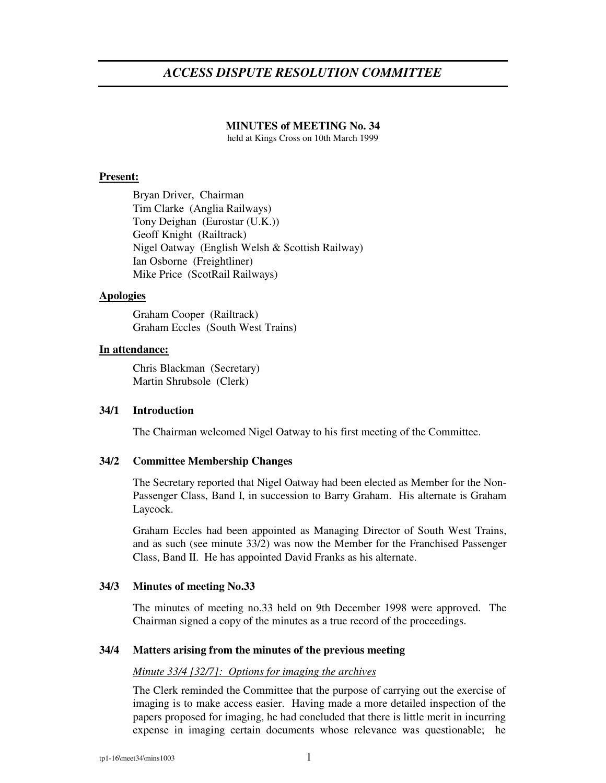# *ACCESS DISPUTE RESOLUTION COMMITTEE*

# **MINUTES of MEETING No. 34**

held at Kings Cross on 10th March 1999

# **Present:**

Bryan Driver, Chairman Tim Clarke (Anglia Railways) Tony Deighan (Eurostar (U.K.)) Geoff Knight (Railtrack) Nigel Oatway (English Welsh & Scottish Railway) Ian Osborne (Freightliner) Mike Price (ScotRail Railways)

# **Apologies**

Graham Cooper (Railtrack) Graham Eccles (South West Trains)

# **In attendance:**

Chris Blackman (Secretary) Martin Shrubsole (Clerk)

# **34/1 Introduction**

The Chairman welcomed Nigel Oatway to his first meeting of the Committee.

# **34/2 Committee Membership Changes**

The Secretary reported that Nigel Oatway had been elected as Member for the Non-Passenger Class, Band I, in succession to Barry Graham. His alternate is Graham Laycock.

Graham Eccles had been appointed as Managing Director of South West Trains, and as such (see minute 33/2) was now the Member for the Franchised Passenger Class, Band II. He has appointed David Franks as his alternate.

# **34/3 Minutes of meeting No.33**

The minutes of meeting no.33 held on 9th December 1998 were approved. The Chairman signed a copy of the minutes as a true record of the proceedings.

# **34/4 Matters arising from the minutes of the previous meeting**

# *Minute 33/4 [32/7]: Options for imaging the archives*

The Clerk reminded the Committee that the purpose of carrying out the exercise of imaging is to make access easier. Having made a more detailed inspection of the papers proposed for imaging, he had concluded that there is little merit in incurring expense in imaging certain documents whose relevance was questionable; he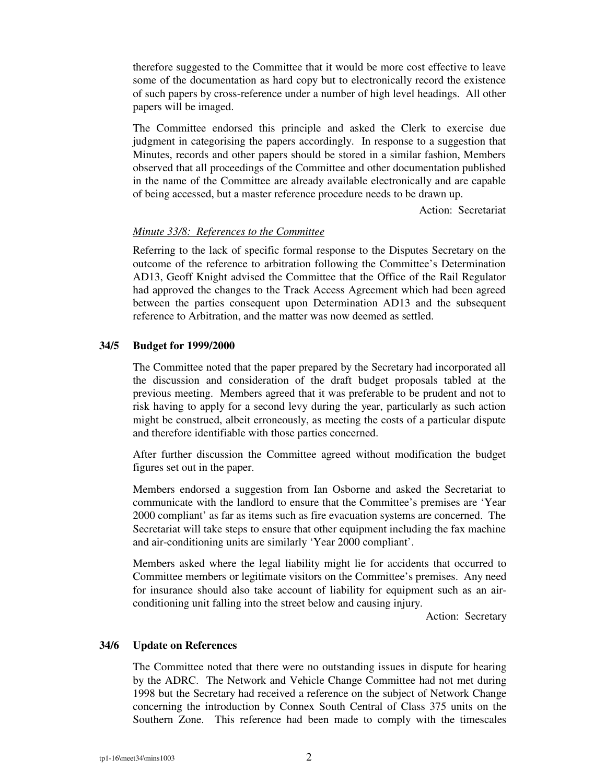therefore suggested to the Committee that it would be more cost effective to leave some of the documentation as hard copy but to electronically record the existence of such papers by cross-reference under a number of high level headings. All other papers will be imaged.

The Committee endorsed this principle and asked the Clerk to exercise due judgment in categorising the papers accordingly. In response to a suggestion that Minutes, records and other papers should be stored in a similar fashion, Members observed that all proceedings of the Committee and other documentation published in the name of the Committee are already available electronically and are capable of being accessed, but a master reference procedure needs to be drawn up.

Action: Secretariat

# *Minute 33/8: References to the Committee*

Referring to the lack of specific formal response to the Disputes Secretary on the outcome of the reference to arbitration following the Committee's Determination AD13, Geoff Knight advised the Committee that the Office of the Rail Regulator had approved the changes to the Track Access Agreement which had been agreed between the parties consequent upon Determination AD13 and the subsequent reference to Arbitration, and the matter was now deemed as settled.

#### **34/5 Budget for 1999/2000**

The Committee noted that the paper prepared by the Secretary had incorporated all the discussion and consideration of the draft budget proposals tabled at the previous meeting. Members agreed that it was preferable to be prudent and not to risk having to apply for a second levy during the year, particularly as such action might be construed, albeit erroneously, as meeting the costs of a particular dispute and therefore identifiable with those parties concerned.

After further discussion the Committee agreed without modification the budget figures set out in the paper.

Members endorsed a suggestion from Ian Osborne and asked the Secretariat to communicate with the landlord to ensure that the Committee's premises are 'Year 2000 compliant' as far as items such as fire evacuation systems are concerned. The Secretariat will take steps to ensure that other equipment including the fax machine and air-conditioning units are similarly 'Year 2000 compliant'.

Members asked where the legal liability might lie for accidents that occurred to Committee members or legitimate visitors on the Committee's premises. Any need for insurance should also take account of liability for equipment such as an airconditioning unit falling into the street below and causing injury.

Action: Secretary

#### **34/6 Update on References**

The Committee noted that there were no outstanding issues in dispute for hearing by the ADRC. The Network and Vehicle Change Committee had not met during 1998 but the Secretary had received a reference on the subject of Network Change concerning the introduction by Connex South Central of Class 375 units on the Southern Zone. This reference had been made to comply with the timescales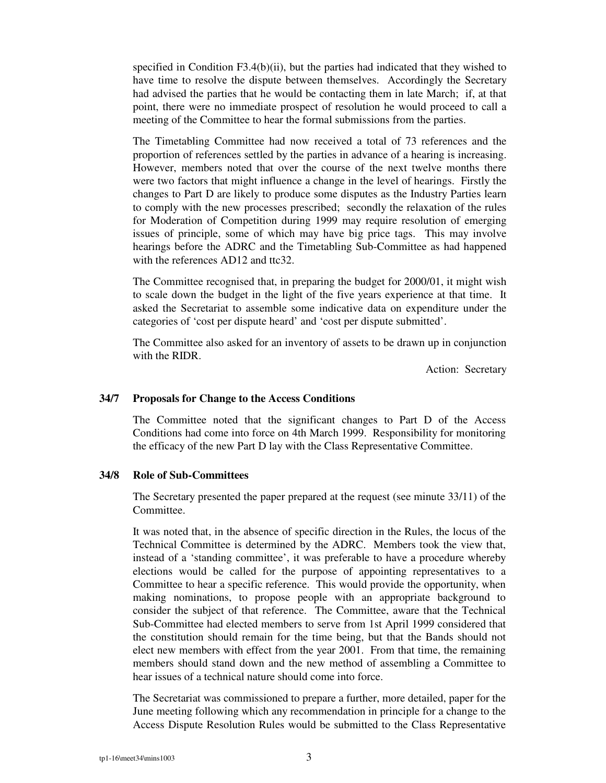specified in Condition F3.4(b)(ii), but the parties had indicated that they wished to have time to resolve the dispute between themselves. Accordingly the Secretary had advised the parties that he would be contacting them in late March; if, at that point, there were no immediate prospect of resolution he would proceed to call a meeting of the Committee to hear the formal submissions from the parties.

The Timetabling Committee had now received a total of 73 references and the proportion of references settled by the parties in advance of a hearing is increasing. However, members noted that over the course of the next twelve months there were two factors that might influence a change in the level of hearings. Firstly the changes to Part D are likely to produce some disputes as the Industry Parties learn to comply with the new processes prescribed; secondly the relaxation of the rules for Moderation of Competition during 1999 may require resolution of emerging issues of principle, some of which may have big price tags. This may involve hearings before the ADRC and the Timetabling Sub-Committee as had happened with the references AD12 and ttc32.

The Committee recognised that, in preparing the budget for 2000/01, it might wish to scale down the budget in the light of the five years experience at that time. It asked the Secretariat to assemble some indicative data on expenditure under the categories of 'cost per dispute heard' and 'cost per dispute submitted'.

The Committee also asked for an inventory of assets to be drawn up in conjunction with the RIDR.

Action: Secretary

#### **34/7 Proposals for Change to the Access Conditions**

The Committee noted that the significant changes to Part D of the Access Conditions had come into force on 4th March 1999. Responsibility for monitoring the efficacy of the new Part D lay with the Class Representative Committee.

#### **34/8 Role of Sub-Committees**

The Secretary presented the paper prepared at the request (see minute 33/11) of the Committee.

It was noted that, in the absence of specific direction in the Rules, the locus of the Technical Committee is determined by the ADRC. Members took the view that, instead of a 'standing committee', it was preferable to have a procedure whereby elections would be called for the purpose of appointing representatives to a Committee to hear a specific reference. This would provide the opportunity, when making nominations, to propose people with an appropriate background to consider the subject of that reference. The Committee, aware that the Technical Sub-Committee had elected members to serve from 1st April 1999 considered that the constitution should remain for the time being, but that the Bands should not elect new members with effect from the year 2001. From that time, the remaining members should stand down and the new method of assembling a Committee to hear issues of a technical nature should come into force.

The Secretariat was commissioned to prepare a further, more detailed, paper for the June meeting following which any recommendation in principle for a change to the Access Dispute Resolution Rules would be submitted to the Class Representative